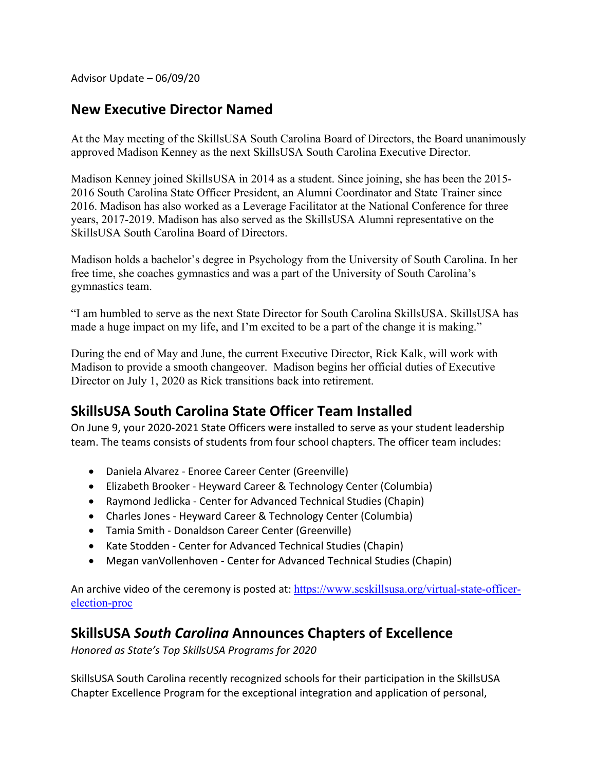Advisor Update – 06/09/20

### **New Executive Director Named**

At the May meeting of the SkillsUSA South Carolina Board of Directors, the Board unanimously approved Madison Kenney as the next SkillsUSA South Carolina Executive Director.

Madison Kenney joined SkillsUSA in 2014 as a student. Since joining, she has been the 2015- 2016 South Carolina State Officer President, an Alumni Coordinator and State Trainer since 2016. Madison has also worked as a Leverage Facilitator at the National Conference for three years, 2017-2019. Madison has also served as the SkillsUSA Alumni representative on the SkillsUSA South Carolina Board of Directors.

Madison holds a bachelor's degree in Psychology from the University of South Carolina. In her free time, she coaches gymnastics and was a part of the University of South Carolina's gymnastics team.

"I am humbled to serve as the next State Director for South Carolina SkillsUSA. SkillsUSA has made a huge impact on my life, and I'm excited to be a part of the change it is making."

During the end of May and June, the current Executive Director, Rick Kalk, will work with Madison to provide a smooth changeover. Madison begins her official duties of Executive Director on July 1, 2020 as Rick transitions back into retirement.

### **SkillsUSA South Carolina State Officer Team Installed**

On June 9, your 2020-2021 State Officers were installed to serve as your student leadership team. The teams consists of students from four school chapters. The officer team includes:

- Daniela Alvarez Enoree Career Center (Greenville)
- Elizabeth Brooker Heyward Career & Technology Center (Columbia)
- Raymond Jedlicka Center for Advanced Technical Studies (Chapin)
- Charles Jones Heyward Career & Technology Center (Columbia)
- Tamia Smith Donaldson Career Center (Greenville)
- Kate Stodden Center for Advanced Technical Studies (Chapin)
- Megan vanVollenhoven Center for Advanced Technical Studies (Chapin)

An archive video of the ceremony is posted at: https://www.scskillsusa.org/virtual-state-officerelection-proc

### **SkillsUSA** *South Carolina* **Announces Chapters of Excellence**

*Honored as State's Top SkillsUSA Programs for 2020*

SkillsUSA South Carolina recently recognized schools for their participation in the SkillsUSA Chapter Excellence Program for the exceptional integration and application of personal,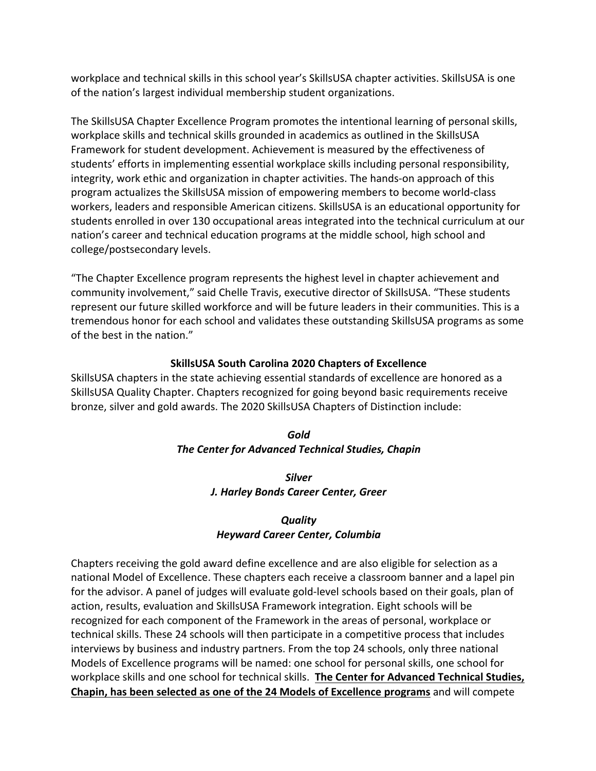workplace and technical skills in this school year's SkillsUSA chapter activities. SkillsUSA is one of the nation's largest individual membership student organizations.

The SkillsUSA Chapter Excellence Program promotes the intentional learning of personal skills, workplace skills and technical skills grounded in academics as outlined in the SkillsUSA Framework for student development. Achievement is measured by the effectiveness of students' efforts in implementing essential workplace skills including personal responsibility, integrity, work ethic and organization in chapter activities. The hands-on approach of this program actualizes the SkillsUSA mission of empowering members to become world-class workers, leaders and responsible American citizens. SkillsUSA is an educational opportunity for students enrolled in over 130 occupational areas integrated into the technical curriculum at our nation's career and technical education programs at the middle school, high school and college/postsecondary levels.

"The Chapter Excellence program represents the highest level in chapter achievement and community involvement," said Chelle Travis, executive director of SkillsUSA. "These students represent our future skilled workforce and will be future leaders in their communities. This is a tremendous honor for each school and validates these outstanding SkillsUSA programs as some of the best in the nation."

#### **SkillsUSA South Carolina 2020 Chapters of Excellence**

SkillsUSA chapters in the state achieving essential standards of excellence are honored as a SkillsUSA Quality Chapter. Chapters recognized for going beyond basic requirements receive bronze, silver and gold awards. The 2020 SkillsUSA Chapters of Distinction include:

#### *Gold The Center for Advanced Technical Studies, Chapin*

#### *Silver J. Harley Bonds Career Center, Greer*

#### *Quality Heyward Career Center, Columbia*

Chapters receiving the gold award define excellence and are also eligible for selection as a national Model of Excellence. These chapters each receive a classroom banner and a lapel pin for the advisor. A panel of judges will evaluate gold-level schools based on their goals, plan of action, results, evaluation and SkillsUSA Framework integration. Eight schools will be recognized for each component of the Framework in the areas of personal, workplace or technical skills. These 24 schools will then participate in a competitive process that includes interviews by business and industry partners. From the top 24 schools, only three national Models of Excellence programs will be named: one school for personal skills, one school for workplace skills and one school for technical skills. **The Center for Advanced Technical Studies, Chapin, has been selected as one of the 24 Models of Excellence programs** and will compete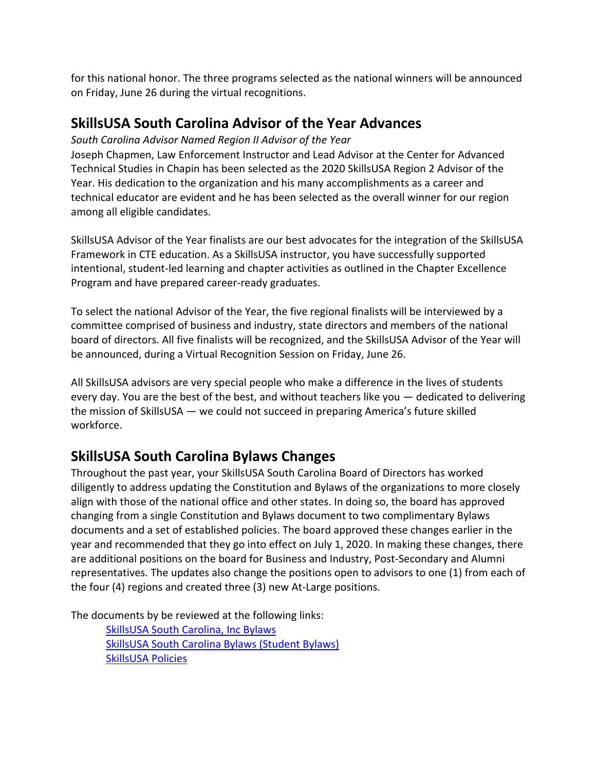for this national honor. The three programs selected as the national winners will be announced on Friday, June 26 during the virtual recognitions.

### **SkillsUSA South Carolina Advisor of the Year Advances**

#### *South Carolina Advisor Named Region II Advisor of the Year*

Joseph Chapmen, Law Enforcement Instructor and Lead Advisor at the Center for Advanced Technical Studies in Chapin has been selected as the 2020 SkillsUSA Region 2 Advisor of the Year. His dedication to the organization and his many accomplishments as a career and technical educator are evident and he has been selected as the overall winner for our region among all eligible candidates.

SkillsUSA Advisor of the Year finalists are our best advocates for the integration of the SkillsUSA Framework in CTE education. As a SkillsUSA instructor, you have successfully supported intentional, student-led learning and chapter activities as outlined in the Chapter Excellence Program and have prepared career-ready graduates.

To select the national Advisor of the Year, the five regional finalists will be interviewed by a committee comprised of business and industry, state directors and members of the national board of directors. All five finalists will be recognized, and the SkillsUSA Advisor of the Year will be announced, during a Virtual Recognition Session on Friday, June 26.

All SkillsUSA advisors are very special people who make a difference in the lives of students every day. You are the best of the best, and without teachers like you — dedicated to delivering the mission of SkillsUSA — we could not succeed in preparing America's future skilled workforce.

# **SkillsUSA South Carolina Bylaws Changes**

Throughout the past year, your SkillsUSA South Carolina Board of Directors has worked diligently to address updating the Constitution and Bylaws of the organizations to more closely align with those of the national office and other states. In doing so, the board has approved changing from a single Constitution and Bylaws document to two complimentary Bylaws documents and a set of established policies. The board approved these changes earlier in the year and recommended that they go into effect on July 1, 2020. In making these changes, there are additional positions on the board for Business and Industry, Post-Secondary and Alumni representatives. The updates also change the positions open to advisors to one (1) from each of the four (4) regions and created three (3) new At-Large positions.

The documents by be reviewed at the following links:

SkillsUSA South Carolina, Inc Bylaws SkillsUSA South Carolina Bylaws (Student Bylaws) SkillsUSA Policies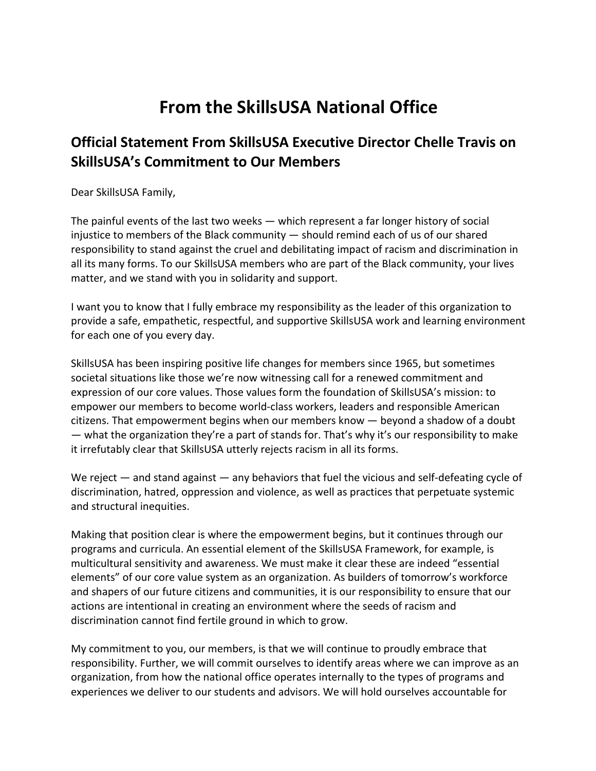# **From the SkillsUSA National Office**

# **Official Statement From SkillsUSA Executive Director Chelle Travis on SkillsUSA's Commitment to Our Members**

Dear SkillsUSA Family,

The painful events of the last two weeks — which represent a far longer history of social injustice to members of the Black community — should remind each of us of our shared responsibility to stand against the cruel and debilitating impact of racism and discrimination in all its many forms. To our SkillsUSA members who are part of the Black community, your lives matter, and we stand with you in solidarity and support.

I want you to know that I fully embrace my responsibility as the leader of this organization to provide a safe, empathetic, respectful, and supportive SkillsUSA work and learning environment for each one of you every day.

SkillsUSA has been inspiring positive life changes for members since 1965, but sometimes societal situations like those we're now witnessing call for a renewed commitment and expression of our core values. Those values form the foundation of SkillsUSA's mission: to empower our members to become world-class workers, leaders and responsible American citizens. That empowerment begins when our members know — beyond a shadow of a doubt — what the organization they're a part of stands for. That's why it's our responsibility to make it irrefutably clear that SkillsUSA utterly rejects racism in all its forms.

We reject — and stand against — any behaviors that fuel the vicious and self-defeating cycle of discrimination, hatred, oppression and violence, as well as practices that perpetuate systemic and structural inequities.

Making that position clear is where the empowerment begins, but it continues through our programs and curricula. An essential element of the SkillsUSA Framework, for example, is multicultural sensitivity and awareness. We must make it clear these are indeed "essential elements" of our core value system as an organization. As builders of tomorrow's workforce and shapers of our future citizens and communities, it is our responsibility to ensure that our actions are intentional in creating an environment where the seeds of racism and discrimination cannot find fertile ground in which to grow.

My commitment to you, our members, is that we will continue to proudly embrace that responsibility. Further, we will commit ourselves to identify areas where we can improve as an organization, from how the national office operates internally to the types of programs and experiences we deliver to our students and advisors. We will hold ourselves accountable for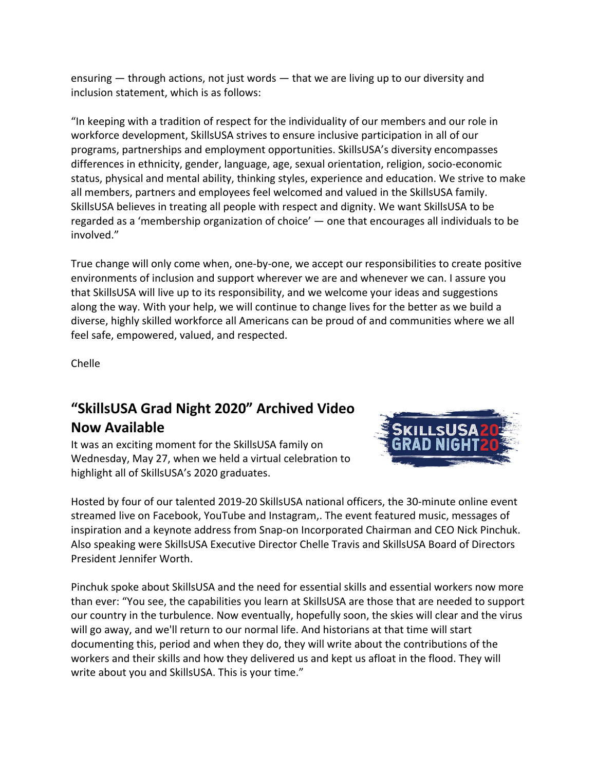ensuring  $-$  through actions, not just words  $-$  that we are living up to our diversity and inclusion statement, which is as follows:

"In keeping with a tradition of respect for the individuality of our members and our role in workforce development, SkillsUSA strives to ensure inclusive participation in all of our programs, partnerships and employment opportunities. SkillsUSA's diversity encompasses differences in ethnicity, gender, language, age, sexual orientation, religion, socio-economic status, physical and mental ability, thinking styles, experience and education. We strive to make all members, partners and employees feel welcomed and valued in the SkillsUSA family. SkillsUSA believes in treating all people with respect and dignity. We want SkillsUSA to be regarded as a 'membership organization of choice' — one that encourages all individuals to be involved."

True change will only come when, one-by-one, we accept our responsibilities to create positive environments of inclusion and support wherever we are and whenever we can. I assure you that SkillsUSA will live up to its responsibility, and we welcome your ideas and suggestions along the way. With your help, we will continue to change lives for the better as we build a diverse, highly skilled workforce all Americans can be proud of and communities where we all feel safe, empowered, valued, and respected.

Chelle

# **"SkillsUSA Grad Night 2020" Archived Video Now Available**

It was an exciting moment for the SkillsUSA family on Wednesday, May 27, when we held a virtual celebration to highlight all of SkillsUSA's 2020 graduates.



Hosted by four of our talented 2019-20 SkillsUSA national officers, the 30-minute online event streamed live on Facebook, YouTube and Instagram,. The event featured music, messages of inspiration and a keynote address from Snap-on Incorporated Chairman and CEO Nick Pinchuk. Also speaking were SkillsUSA Executive Director Chelle Travis and SkillsUSA Board of Directors President Jennifer Worth.

Pinchuk spoke about SkillsUSA and the need for essential skills and essential workers now more than ever: "You see, the capabilities you learn at SkillsUSA are those that are needed to support our country in the turbulence. Now eventually, hopefully soon, the skies will clear and the virus will go away, and we'll return to our normal life. And historians at that time will start documenting this, period and when they do, they will write about the contributions of the workers and their skills and how they delivered us and kept us afloat in the flood. They will write about you and SkillsUSA. This is your time."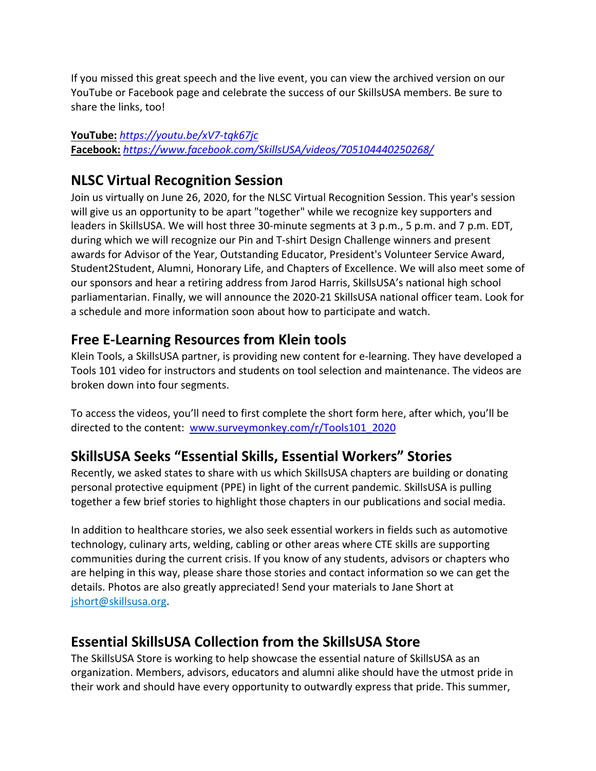If you missed this great speech and the live event, you can view the archived version on our YouTube or Facebook page and celebrate the success of our SkillsUSA members. Be sure to share the links, too!

#### **YouTube:** *https://youtu.be/xV7-tqk67jc* **Facebook:** *https://www.facebook.com/SkillsUSA/videos/705104440250268/*

### **NLSC Virtual Recognition Session**

Join us virtually on June 26, 2020, for the NLSC Virtual Recognition Session. This year's session will give us an opportunity to be apart "together" while we recognize key supporters and leaders in SkillsUSA. We will host three 30-minute segments at 3 p.m., 5 p.m. and 7 p.m. EDT, during which we will recognize our Pin and T-shirt Design Challenge winners and present awards for Advisor of the Year, Outstanding Educator, President's Volunteer Service Award, Student2Student, Alumni, Honorary Life, and Chapters of Excellence. We will also meet some of our sponsors and hear a retiring address from Jarod Harris, SkillsUSA's national high school parliamentarian. Finally, we will announce the 2020-21 SkillsUSA national officer team. Look for a schedule and more information soon about how to participate and watch.

### **Free E-Learning Resources from Klein tools**

Klein Tools, a SkillsUSA partner, is providing new content for e-learning. They have developed a Tools 101 video for instructors and students on tool selection and maintenance. The videos are broken down into four segments.

To access the videos, you'll need to first complete the short form here, after which, you'll be directed to the content: www.surveymonkey.com/r/Tools101\_2020

# **SkillsUSA Seeks "Essential Skills, Essential Workers" Stories**

Recently, we asked states to share with us which SkillsUSA chapters are building or donating personal protective equipment (PPE) in light of the current pandemic. SkillsUSA is pulling together a few brief stories to highlight those chapters in our publications and social media.

In addition to healthcare stories, we also seek essential workers in fields such as automotive technology, culinary arts, welding, cabling or other areas where CTE skills are supporting communities during the current crisis. If you know of any students, advisors or chapters who are helping in this way, please share those stories and contact information so we can get the details. Photos are also greatly appreciated! Send your materials to Jane Short at jshort@skillsusa.org.

# **Essential SkillsUSA Collection from the SkillsUSA Store**

The SkillsUSA Store is working to help showcase the essential nature of SkillsUSA as an organization. Members, advisors, educators and alumni alike should have the utmost pride in their work and should have every opportunity to outwardly express that pride. This summer,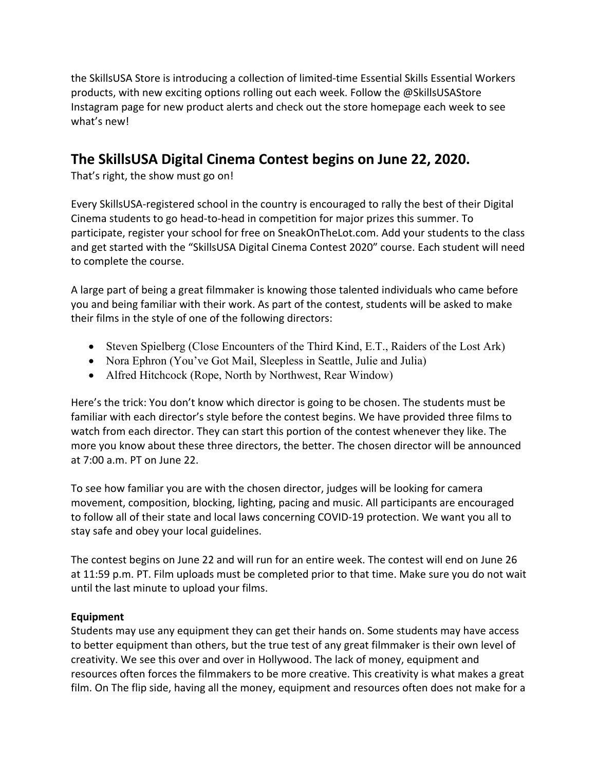the SkillsUSA Store is introducing a collection of limited-time Essential Skills Essential Workers products, with new exciting options rolling out each week. Follow the @SkillsUSAStore Instagram page for new product alerts and check out the store homepage each week to see what's new!

### **The SkillsUSA Digital Cinema Contest begins on June 22, 2020.**

That's right, the show must go on!

Every SkillsUSA-registered school in the country is encouraged to rally the best of their Digital Cinema students to go head-to-head in competition for major prizes this summer. To participate, register your school for free on SneakOnTheLot.com. Add your students to the class and get started with the "SkillsUSA Digital Cinema Contest 2020" course. Each student will need to complete the course.

A large part of being a great filmmaker is knowing those talented individuals who came before you and being familiar with their work. As part of the contest, students will be asked to make their films in the style of one of the following directors:

- Steven Spielberg (Close Encounters of the Third Kind, E.T., Raiders of the Lost Ark)
- Nora Ephron (You've Got Mail, Sleepless in Seattle, Julie and Julia)
- Alfred Hitchcock (Rope, North by Northwest, Rear Window)

Here's the trick: You don't know which director is going to be chosen. The students must be familiar with each director's style before the contest begins. We have provided three films to watch from each director. They can start this portion of the contest whenever they like. The more you know about these three directors, the better. The chosen director will be announced at 7:00 a.m. PT on June 22.

To see how familiar you are with the chosen director, judges will be looking for camera movement, composition, blocking, lighting, pacing and music. All participants are encouraged to follow all of their state and local laws concerning COVID-19 protection. We want you all to stay safe and obey your local guidelines.

The contest begins on June 22 and will run for an entire week. The contest will end on June 26 at 11:59 p.m. PT. Film uploads must be completed prior to that time. Make sure you do not wait until the last minute to upload your films.

#### **Equipment**

Students may use any equipment they can get their hands on. Some students may have access to better equipment than others, but the true test of any great filmmaker is their own level of creativity. We see this over and over in Hollywood. The lack of money, equipment and resources often forces the filmmakers to be more creative. This creativity is what makes a great film. On The flip side, having all the money, equipment and resources often does not make for a